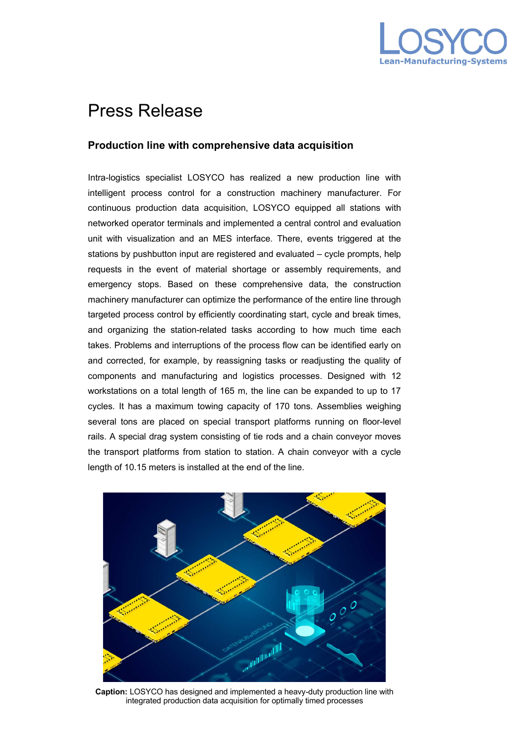

## Press Release

## **Production line with comprehensive data acquisition**

Intra-logistics specialist LOSYCO has realized a new production line with intelligent process control for a construction machinery manufacturer. For continuous production data acquisition, LOSYCO equipped all stations with networked operator terminals and implemented a central control and evaluation unit with visualization and an MES interface. There, events triggered at the stations by pushbutton input are registered and evaluated – cycle prompts, help requests in the event of material shortage or assembly requirements, and emergency stops. Based on these comprehensive data, the construction machinery manufacturer can optimize the performance of the entire line through targeted process control by efficiently coordinating start, cycle and break times, and organizing the station-related tasks according to how much time each takes. Problems and interruptions of the process flow can be identified early on and corrected, for example, by reassigning tasks or readjusting the quality of components and manufacturing and logistics processes. Designed with 12 workstations on a total length of 165 m, the line can be expanded to up to 17 cycles. It has a maximum towing capacity of 170 tons. Assemblies weighing several tons are placed on special transport platforms running on floor-level rails. A special drag system consisting of tie rods and a chain conveyor moves the transport platforms from station to station. A chain conveyor with a cycle length of 10.15 meters is installed at the end of the line.



**Caption:** LOSYCO has designed and implemented a heavy-duty production line with integrated production data acquisition for optimally timed processes